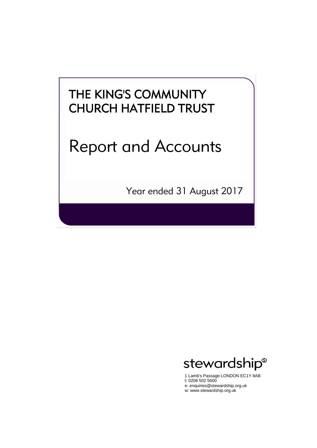# THE KING'S COMMUNITY CHURCH HATFIELD TRUST

# Report and Accounts

Year ended 31 August 2017



1 Lamb's Passage LONDON EC1Y 8AB t: 0208 502 5600 e: enquiries@stewardship.org.uk w: www.stewardship.org.uk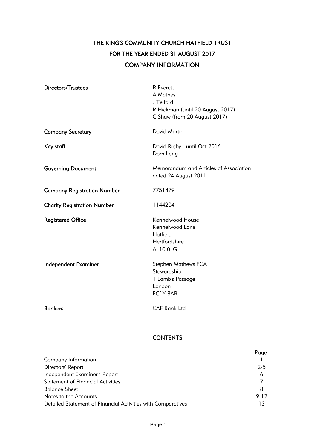# THE KING'S COMMUNITY CHURCH HATFIELD TRUST FOR THE YEAR ENDED 31 AUGUST 2017 COMPANY INFORMATION

| Directors/Trustees                 | <b>R</b> Everett<br>A Mathes<br>J Telford<br>R Hickman (until 20 August 2017)<br>C Shaw (from 20 August 2017) |
|------------------------------------|---------------------------------------------------------------------------------------------------------------|
| <b>Company Secretary</b>           | David Martin                                                                                                  |
| Key staff                          | David Rigby - until Oct 2016<br>Dom Long                                                                      |
| <b>Governing Document</b>          | Memorandum and Articles of Association<br>dated 24 August 2011                                                |
| <b>Company Registration Number</b> | 7751479                                                                                                       |
| <b>Charity Registration Number</b> | 1144204                                                                                                       |
| <b>Registered Office</b>           | Kennelwood House<br>Kennelwood Lane<br>Hatfield<br>Hertfordshire<br>AL10 OLG                                  |
| <b>Independent Examiner</b>        | <b>Stephen Mathews FCA</b><br>Stewardship<br>1 Lamb's Passage<br>London<br>EC1Y 8AB                           |
| <b>Bankers</b>                     | <b>CAF Bank Ltd</b>                                                                                           |

# **CONTENTS**

|                                                              | Page     |
|--------------------------------------------------------------|----------|
| Company Information                                          |          |
| Directors' Report                                            | $2 - 5$  |
| Independent Examiner's Report                                | 6        |
| <b>Statement of Financial Activities</b>                     |          |
| <b>Balance Sheet</b>                                         | 8        |
| Notes to the Accounts                                        | $9 - 12$ |
| Detailed Statement of Financial Activities with Comparatives |          |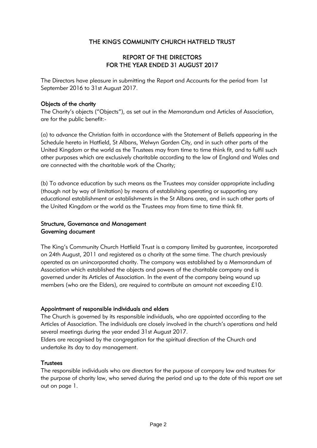# THE KING'S COMMUNITY CHURCH HATFIELD TRUST

# REPORT OF THE DIRECTORS FOR THE YEAR ENDED 31 AUGUST 2017

The Directors have pleasure in submitting the Report and Accounts for the period from 1st September 2016 to 31st August 2017.

# Objects of the charity

The Charity's objects ("Objects"), as set out in the Memorandum and Articles of Association, are for the public benefit:-

(a) to advance the Christian faith in accordance with the Statement of Beliefs appearing in the Schedule hereto in Hatfield, St Albans, Welwyn Garden City, and in such other parts of the United Kingdom or the world as the Trustees may from time to time think fit, and to fulfil such other purposes which are exclusively charitable according to the law of England and Wales and are connected with the charitable work of the Charity;

(b) To advance education by such means as the Trustees may consider appropriate including (though not by way of limitation) by means of establishing operating or supporting any educational establishment or establishments in the St Albans area, and in such other parts of the United Kingdom or the world as the Trustees may from time to time think fit.

# Structure, Governance and Management Governing document

The King's Community Church Hatfield Trust is a company limited by guarantee, incorporated on 24th August, 2011 and registered as a charity at the same time. The church previously operated as an unincorporated charity. The company was established by a Memorandum of Association which established the objects and powers of the charitable company and is governed under its Articles of Association. In the event of the company being wound up members (who are the Elders), are required to contribute an amount not exceeding £10.

# Appointment of responsible individuals and elders

The Church is governed by its responsible individuals, who are appointed according to the Articles of Association. The individuals are closely involved in the church's operations and held several meetings during the year ended 31st August 2017.

Elders are recognised by the congregation for the spiritual direction of the Church and undertake its day to day management.

# **Trustees**

The responsible individuals who are directors for the purpose of company law and trustees for the purpose of charity law, who served during the period and up to the date of this report are set out on page 1.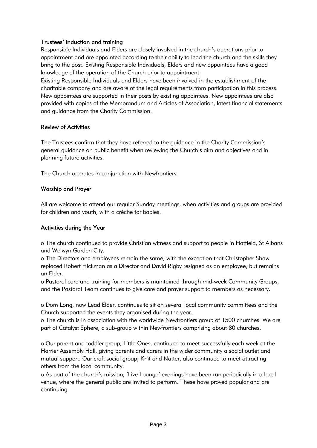# Trustees' induction and training

Responsible Individuals and Elders are closely involved in the church's operations prior to appointment and are appointed according to their ability to lead the church and the skills they bring to the post. Existing Responsible Individuals, Elders and new appointees have a good knowledge of the operation of the Church prior to appointment.

Existing Responsible Individuals and Elders have been involved in the establishment of the charitable company and are aware of the legal requirements from participation in this process. New appointees are supported in their posts by existing appointees. New appointees are also provided with copies of the Memorandum and Articles of Association, latest financial statements and guidance from the Charity Commission.

# Review of Activities

The Trustees confirm that they have referred to the guidance in the Charity Commission's general guidance on public benefit when reviewing the Church's aim and objectives and in planning future activities.

The Church operates in conjunction with Newfrontiers.

# Worship and Prayer

All are welcome to attend our regular Sunday meetings, when activities and groups are provided for children and youth, with a crèche for babies.

# Activities during the Year

o The church continued to provide Christian witness and support to people in Hatfield, St Albans and Welwyn Garden City.

o The Directors and employees remain the same, with the exception that Christopher Shaw replaced Robert Hickman as a Director and David Rigby resigned as an employee, but remains an Elder.

o Pastoral care and training for members is maintained through mid-week Community Groups, and the Pastoral Team continues to give care and prayer support to members as necessary.

o Dom Long, now Lead Elder, continues to sit on several local community committees and the Church supported the events they organised during the year.

o The church is in association with the worldwide Newfrontiers group of 1500 churches. We are part of Catalyst Sphere, a sub-group within Newfrontiers comprising about 80 churches.

o Our parent and toddler group, Little Ones, continued to meet successfully each week at the Harrier Assembly Hall, giving parents and carers in the wider community a social outlet and mutual support. Our craft social group, Knit and Natter, also continued to meet attracting others from the local community.

o As part of the church's mission, 'Live Lounge' evenings have been run periodically in a local venue, where the general public are invited to perform. These have proved popular and are continuing.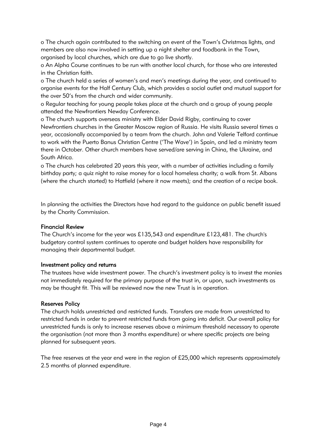o The church again contributed to the switching on event of the Town's Christmas lights, and members are also now involved in setting up a night shelter and foodbank in the Town, organised by local churches, which are due to go live shortly.

o An Alpha Course continues to be run with another local church, for those who are interested in the Christian faith.

o The church held a series of women's and men's meetings during the year, and continued to organise events for the Half Century Club, which provides a social outlet and mutual support for the over 50's from the church and wider community.

o Regular teaching for young people takes place at the church and a group of young people attended the Newfrontiers Newday Conference.

o The church supports overseas ministry with Elder David Rigby, continuing to cover Newfrontiers churches in the Greater Moscow region of Russia. He visits Russia several times a year, occasionally accompanied by a team from the church. John and Valerie Telford continue to work with the Puerto Banus Christian Centre ('The Wave') in Spain, and led a ministry team there in October. Other church members have served/are serving in China, the Ukraine, and South Africa.

o The church has celebrated 20 years this year, with a number of activities including a family birthday party; a quiz night to raise money for a local homeless charity; a walk from St. Albans (where the church started) to Hatfield (where it now meets); and the creation of a recipe book.

In planning the activities the Directors have had regard to the guidance on public benefit issued by the Charity Commission.

# Financial Review

The Church's income for the year was £135,543 and expenditure £123,481. The church's budgetary control system continues to operate and budget holders have responsibility for managing their departmental budget.

# Investment policy and returns

The trustees have wide investment power. The church's investment policy is to invest the monies not immediately required for the primary purpose of the trust in, or upon, such investments as may be thought fit. This will be reviewed now the new Trust is in operation.

# Reserves Policy

The church holds unrestricted and restricted funds. Transfers are made from unrestricted to restricted funds in order to prevent restricted funds from going into deficit. Our overall policy for unrestricted funds is only to increase reserves above a minimum threshold necessary to operate the organisation (not more than 3 months expenditure) or where specific projects are being planned for subsequent years.

The free reserves at the year end were in the region of £25,000 which represents approximately 2.5 months of planned expenditure.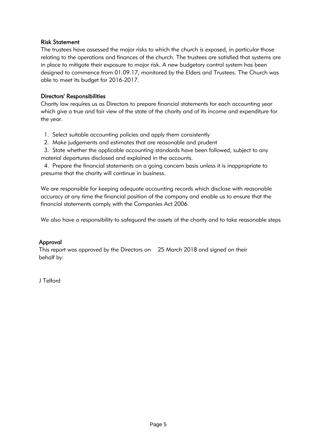# Risk Statement

The trustees have assessed the major risks to which the church is exposed, in particular those relating to the operations and finances of the church. The trustees are satisfied that systems are in place to mitigate their exposure to major risk. A new budgetary control system has been designed to commence from 01.09.17, monitored by the Elders and Trustees. The Church was able to meet its budget for 2016-2017.

# Directors' Responsibilities

Charity law requires us as Directors to prepare financial statements for each accounting year which give a true and fair view of the state of the charity and of its income and expenditure for the year.

- 1. Select suitable accounting policies and apply them consistently
- 2. Make judgements and estimates that are reasonable and prudent
- 3. State whether the applicable accounting standards have been followed, subject to any material departures disclosed and explained in the accounts.

4. Prepare the financial statements on a going concern basis unless it is inappropriate to presume that the charity will continue in business.

We are responsible for keeping adequate accounting records which disclose with reasonable accuracy at any time the financial position of the company and enable us to ensure that the financial statements comply with the Companies Act 2006.

We also have a responsibility to safeguard the assets of the charity and to take reasonable steps

# Approval

This report was approved by the Directors on 25 March 2018 and signed on their behalf by:

J Telford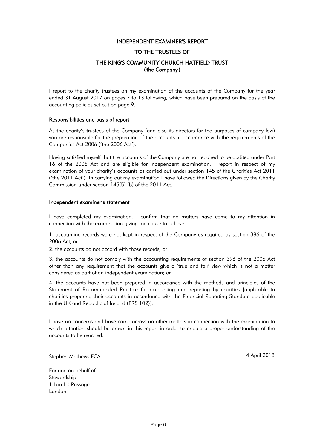### INDEPENDENT EXAMINER'S REPORT

### TO THE TRUSTEES OF

# THE KING'S COMMUNITY CHURCH HATFIELD TRUST ('the Company')

I report to the charity trustees on my examination of the accounts of the Company for the year ended 31 August 2017 on pages 7 to 13 following, which have been prepared on the basis of the accounting policies set out on page 9.

### Responsibilities and basis of report

As the charity's trustees of the Company (and also its directors for the purposes of company law) you are responsible for the preparation of the accounts in accordance with the requirements of the Companies Act 2006 ('the 2006 Act').

Having satisfied myself that the accounts of the Company are not required to be audited under Part 16 of the 2006 Act and are eligible for independent examination, I report in respect of my examination of your charity's accounts as carried out under section 145 of the Charities Act 2011 ('the 2011 Act'). In carrying out my examination I have followed the Directions given by the Charity Commission under section 145(5) (b) of the 2011 Act.

### Independent examiner's statement

I have completed my examination. I confirm that no matters have come to my attention in connection with the examination giving me cause to believe:

1. accounting records were not kept in respect of the Company as required by section 386 of the 2006 Act; or

2. the accounts do not accord with those records; or

3. the accounts do not comply with the accounting requirements of section 396 of the 2006 Act other than any requirement that the accounts give a 'true and fair' view which is not a matter considered as part of an independent examination; or

4. the accounts have not been prepared in accordance with the methods and principles of the Statement of Recommended Practice for accounting and reporting by charities [applicable to charities preparing their accounts in accordance with the Financial Reporting Standard applicable in the UK and Republic of Ireland (FRS 102)].

I have no concerns and have come across no other matters in connection with the examination to which attention should be drawn in this report in order to enable a proper understanding of the accounts to be reached.

Stephen Mathews FCA **4 April 2018** 

For and on behalf of: **Stewardship** 1 Lamb's Passage London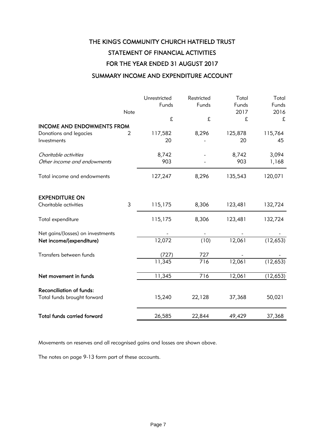# THE KING'S COMMUNITY CHURCH HATFIELD TRUST STATEMENT OF FINANCIAL ACTIVITIES FOR THE YEAR ENDED 31 AUGUST 2017

# SUMMARY INCOME AND EXPENDITURE ACCOUNT

|                                    | Note           | Unrestricted<br>Funds | Restricted<br>Funds | Total<br>Funds<br>2017 | Total<br>Funds<br>2016 |
|------------------------------------|----------------|-----------------------|---------------------|------------------------|------------------------|
|                                    |                | £                     | £                   | £                      | £                      |
| <b>INCOME AND ENDOWMENTS FROM</b>  |                |                       |                     |                        |                        |
| Donations and legacies             | $\overline{2}$ | 117,582               | 8,296               | 125,878                | 115,764                |
| Investments                        |                | 20                    |                     | 20                     | 45                     |
| Charitable activities              |                | 8,742                 |                     | 8,742                  | 3,094                  |
| Other income and endowments        |                | 903                   |                     | 903                    | 1,168                  |
| Total income and endowments        |                | 127,247               | 8,296               | 135,543                | 120,071                |
| <b>EXPENDITURE ON</b>              |                |                       |                     |                        |                        |
| Charitable activities              | $\mathfrak{Z}$ | 115,175               | 8,306               | 123,481                | 132,724                |
| Total expenditure                  |                | 115,175               | 8,306               | 123,481                | 132,724                |
| Net gains/(losses) on investments  |                |                       |                     |                        |                        |
| Net income/(expenditure)           |                | 12,072                | (10)                | 12,061                 | (12,653)               |
| Transfers between funds            |                | (727)                 | 727                 |                        |                        |
|                                    |                | 11,345                | 716                 | 12,061                 | (12,653)               |
| Net movement in funds              |                | 11,345                | 716                 | 12,061                 | (12, 653)              |
| <b>Reconciliation of funds:</b>    |                |                       |                     |                        |                        |
| Total funds brought forward        |                | 15,240                | 22,128              | 37,368                 | 50,021                 |
| <b>Total funds carried forward</b> |                | 26,585                | 22,844              | 49,429                 | 37,368                 |

Movements on reserves and all recognised gains and losses are shown above.

The notes on page 9-13 form part of these accounts.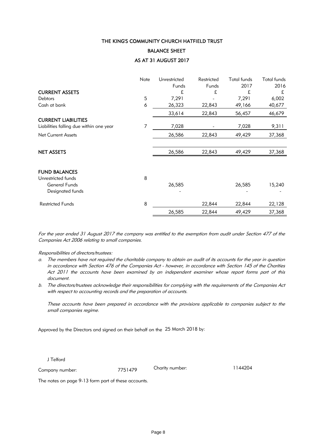### THE KING'S COMMUNITY CHURCH HATFIELD TRUST

### BALANCE SHEET

### AS AT 31 AUGUST 2017

|                                         | Note | Unrestricted | Restricted | <b>Total funds</b> | <b>Total funds</b> |
|-----------------------------------------|------|--------------|------------|--------------------|--------------------|
|                                         |      | Funds        | Funds      | 2017               | 2016               |
| <b>CURRENT ASSETS</b>                   |      | £            | £          | £                  | £                  |
| <b>Debtors</b>                          | 5    | 7,291        |            | 7,291              | 6,002              |
| Cash at bank                            | 6    | 26,323       | 22,843     | 49,166             | 40,677             |
|                                         |      | 33,614       | 22,843     | 56,457             | 46,679             |
| <b>CURRENT LIABILITIES</b>              |      |              |            |                    |                    |
| Liabilities falling due within one year | 7    | 7,028        |            | 7,028              | 9,311              |
| <b>Net Current Assets</b>               |      | 26,586       | 22,843     | 49,429             | 37,368             |
|                                         |      |              |            |                    |                    |
| <b>NET ASSETS</b>                       |      | 26,586       | 22,843     | 49,429             | 37,368             |
|                                         |      |              |            |                    |                    |
| <b>FUND BALANCES</b>                    |      |              |            |                    |                    |
| Unrestricted funds                      | 8    |              |            |                    |                    |
| General Funds                           |      | 26,585       |            | 26,585             | 15,240             |
| Designated funds                        |      |              |            |                    |                    |
| <b>Restricted Funds</b>                 | 8    |              | 22,844     | 22,844             | 22,128             |
|                                         |      | 26,585       | 22,844     | 49,429             | 37,368             |

For the year ended 31 August 2017 the company was entitled to the exemption from audit under Section 477 of the Companies Act 2006 relating to small companies.

### Responsibilities of directors/trustees:

- a. The members have not required the charitable company to obtain an audit of its accounts for the year in question in accordance with Section 476 of the Companies Act - however, in accordance with Section 145 of the Charities Act 2011 the accounts have been examined by an independent examiner whose report forms part of this document.
- b. The directors/trustees acknowledge their responsibilities for complying with the requirements of the Companies Act with respect to accounting records and the preparation of accounts.

These accounts have been prepared in accordance with the provisions applicable to companies subject to the small companies regime.

Approved by the Directors and signed on their behalf on the 25 March 2018 by:

J Telford

Company number: 7751479

Charity number: 1144204

The notes on page 9-13 form part of these accounts.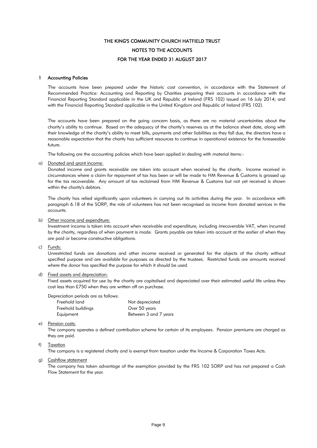# FOR THE YEAR ENDED 31 AUGUST 2017 NOTES TO THE ACCOUNTS THE KING'S COMMUNITY CHURCH HATFIELD TRUST

### 1 Accounting Policies

The accounts have been prepared under the historic cost convention, in accordance with the Statement of Recommended Practice: Accounting and Reporting by Charities preparing their accounts in accordance with the Financial Reporting Standard applicable in the UK and Republic of Ireland (FRS 102) issued on 16 July 2014; and with the Financial Reporting Standard applicable in the United Kingdom and Republic of Ireland (FRS 102).

The accounts have been prepared on the going concern basis, as there are no material uncertainties about the charity's ability to continue. Based on the adequacy of the charity's reserves as at the balance sheet date, along with their knowledge of the charity's ability to meet bills, payments and other liabilities as they fall due, the directors have a reasonable expectation that the charity has sufficient resources to continue in operational existence for the foreseeable future.

The following are the accounting policies which have been applied in dealing with material items:-

### a) Donated and grant income:

Donated income and grants receivable are taken into account when received by the charity. Income received in circumstances where a claim for repayment of tax has been or will be made to HM Revenue & Customs is grossed up for the tax recoverable. Any amount of tax reclaimed from HM Revenue & Customs but not yet received is shown within the charity's debtors.

The charity has relied significantly upon volunteers in carrying out its activities during the year. In accordance with paragraph 6.18 of the SORP, the role of volunteers has not been recognised as income from donated services in the accounts.

### b) Other income and expenditure:

Investment income is taken into account when receivable and expenditure, including irrecoverable VAT, when incurred by the charity, regardless of when payment is made. Grants payable are taken into account at the earlier of when they are paid or become constructive obligations.

c) Funds:

Unrestricted funds are donations and other income received or generated for the objects of the charity without specified purpose and are available for purposes as directed by the trustees. Restricted funds are amounts received where the donor has specified the purpose for which it should be used.

#### d) Fixed assets and depreciation:

Fixed assets acquired for use by the charity are capitalised and depreciated over their estimated useful life unless they cost less than £750 when they are written off on purchase.

Depreciation periods are as follows:

| Not depreciated       |
|-----------------------|
| Over 50 years         |
| Between 3 and 7 years |
|                       |

#### e) Pension costs:

The company operates a defined contribution scheme for certain of its employees. Pension premiums are charged as they are paid.

### f) Taxation

The company is a registered charity and is exempt from taxation under the Income & Corporation Taxes Acts.

#### g) Cashflow statement

The company has taken advantage of the exemption provided by the FRS 102 SORP and has not prepared a Cash Flow Statement for the year.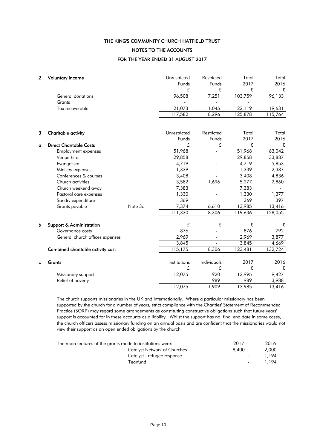FOR THE YEAR ENDED 31 AUGUST 2017 NOTES TO THE ACCOUNTS THE KING'S COMMUNITY CHURCH HATFIELD TRUST

| $\mathbf{2}$ | <b>Voluntary income</b>           |         | Unrestricted<br>Funds<br>£ | Restricted<br>Funds<br>£ | Total<br>2017<br>£ | Total<br>2016<br>£ |
|--------------|-----------------------------------|---------|----------------------------|--------------------------|--------------------|--------------------|
|              | <b>General donations</b>          |         | 96,508                     | 7,251                    | 103,759            | 96,133             |
|              | Grants                            |         |                            |                          |                    |                    |
|              | Tax recoverable                   |         | 21,073                     | 1,045                    | 22,119             | 19,631             |
|              |                                   |         | 117,582                    | 8,296                    | 125,878            | 115,764            |
|              |                                   |         |                            |                          |                    |                    |
| 3            | Charitable activity               |         | Unrestricted               | Restricted               | Total              | Total              |
|              |                                   |         | Funds                      | Funds                    | 2017               | 2016               |
| a            | <b>Direct Charitable Costs</b>    |         | £                          | £                        | £                  | £                  |
|              | Employment expenses               |         | 51,968                     |                          | 51,968             | 63,042             |
|              | Venue hire                        |         | 29,858                     |                          | 29,858             | 33,887             |
|              | Evangelism                        |         | 4,719                      |                          | 4,719              | 5,853              |
|              | Ministry expenses                 |         | 1,339                      |                          | 1,339              | 2,387              |
|              | Conferences & courses             |         | 3,408                      |                          | 3,408              | 4,836              |
|              | Church activities                 |         | 3,582                      | 1,696                    | 5,277              | 2,860              |
|              | Church weekend away               |         | 7,383                      |                          | 7,383              |                    |
|              | Pastoral care expenses            |         | 1,330                      |                          | 1,330              | 1,377              |
|              | Sundry expenditure                |         | 369                        |                          | 369                | 397                |
|              | Grants payable                    | Note 3c | 7,374                      | 6,610                    | 13,985             | 13,416             |
|              |                                   |         | 111,330                    | 8,306                    | 119,636            | 128,055            |
| b            | Support & Administration          |         | £                          | £                        | £                  | £                  |
|              | Governance costs                  |         | 876                        |                          | 876                | 792                |
|              | General church offices expenses   |         | 2,969                      |                          | 2,969              | 3,877              |
|              |                                   |         | 3,845                      |                          | 3,845              | 4,669              |
|              | Combined charitable activity cost |         | 115, 175                   | 8,306                    | 123,481            | 132,724            |
| c            | Grants                            |         | Institutions               | Individuals              | 2017               | 2016               |
|              |                                   |         | £                          | £                        | £                  | £                  |
|              | Missionary support                |         | 12,075                     | 920                      | 12,995             | 9,427              |
|              | Relief of poverty                 |         |                            | 989                      | 989                | 3,988              |
|              |                                   |         | 12,075                     | 1,909                    | 13,985             | 13,416             |

The church supports missionaries in the UK and internationally. Where a particular missionary has been supported by the church for a number of years, strict compliance with the Charities' Statement of Recommended Practice (SORP) may regard some arrangements as constituting constructive obligations such that future years' support is accounted for in these accounts as a liability. Whilst the support has no final end date in some cases, the church officers assess missionary funding on an annual basis and are confident that the missionaries would not view their support as an open ended obligations by the church.

| The main features of the grants made to institutions were: | 2017  | 2016  |
|------------------------------------------------------------|-------|-------|
| <b>Catalyst Network of Churches</b>                        | 8.400 | 2,000 |
| Catalyst - refugee response                                |       | 1.194 |
| Tearfund                                                   |       | 1.194 |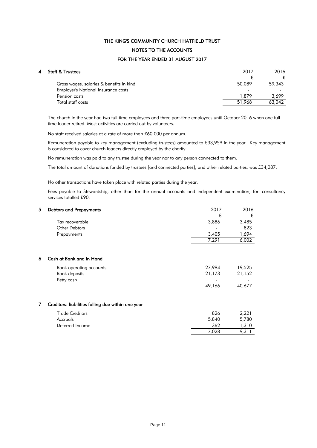# NOTES TO THE ACCOUNTS THE KING'S COMMUNITY CHURCH HATFIELD TRUST

### FOR THE YEAR ENDED 31 AUGUST 2017

| 4 | Staff & Trustees                         | 2017   | 2016   |
|---|------------------------------------------|--------|--------|
|   |                                          | £      |        |
|   | Gross wages, salaries & benefits in kind | 50,089 | 59,343 |
|   | Employer's National Insurance costs      | -      |        |
|   | Pension costs                            | 1.879  | 3.699  |
|   | Total staff costs                        | 51,968 | 63,042 |
|   |                                          |        |        |

The church in the year had two full time employees and three part-time employees until October 2016 when one full time leader retired. Most activities are carried out by volunteers.

No staff received salaries at a rate of more than £60,000 per annum.

Remuneration payable to key management (excluding trustees) amounted to £33,959 in the year. Key management is considered to cover church leaders directly employed by the charity.

No remuneration was paid to any trustee during the year nor to any person connected to them.

The total amount of donations funded by trustees [and connected parties], and other related parties, was £34,087.

No other transactions have taken place with related parties during the year.

Fees payable to Stewardship, other than for the annual accounts and independent examination, for consultancy services totalled £90.

| 5 | <b>Debtors and Prepayments</b>                     | 2017   | 2016   |
|---|----------------------------------------------------|--------|--------|
|   |                                                    | £      | £      |
|   | Tax recoverable                                    | 3,886  | 3,485  |
|   | <b>Other Debtors</b>                               |        | 823    |
|   | Prepayments                                        | 3,405  | 1,694  |
|   |                                                    | 7,291  | 6,002  |
|   |                                                    |        |        |
| 6 | Cash at Bank and in Hand                           |        |        |
|   | Bank operating accounts                            | 27,994 | 19,525 |
|   | <b>Bank deposits</b>                               | 21,173 | 21,152 |
|   | Petty cash                                         |        |        |
|   |                                                    | 49,166 | 40,677 |
|   |                                                    |        |        |
| 7 | Creditors: liabilities falling due within one year |        |        |
|   | <b>Trade Creditors</b>                             | 826    | 2,221  |
|   | Accruals                                           | 5,840  | 5,780  |
|   | Deferred Income                                    | 362    | 1,310  |
|   |                                                    | 7,028  | 9,311  |
|   |                                                    |        |        |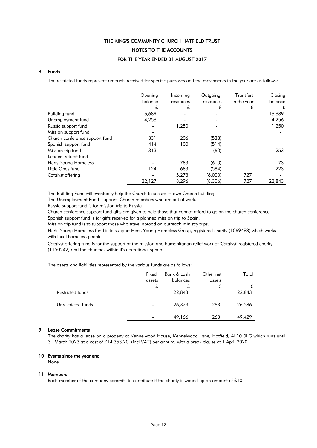# FOR THE YEAR ENDED 31 AUGUST 2017 NOTES TO THE ACCOUNTS THE KING'S COMMUNITY CHURCH HATFIELD TRUST

### 8 Funds

The restricted funds represent amounts received for specific purposes and the movements in the year are as follows:

|                                | Opening<br>balance | Incoming  | Outgoing  | Transfers   | Closing<br>balance |
|--------------------------------|--------------------|-----------|-----------|-------------|--------------------|
|                                |                    | resources | resources | in the year |                    |
|                                | £                  | £         | £         | £           | £                  |
| Building fund                  | 16,689             |           |           |             | 16,689             |
| Unemployment fund              | 4,256              |           |           |             | 4,256              |
| Russia support fund            |                    | 1,250     |           |             | 1,250              |
| Mission support fund           |                    |           |           |             |                    |
| Church conference support fund | 331                | 206       | (538)     |             |                    |
| Spanish support fund           | 414                | 100       | (514)     |             |                    |
| Mission trip fund              | 313                |           | (60)      |             | 253                |
| Leaders retreat fund           |                    |           |           |             |                    |
| Herts Young Homeless           |                    | 783       | (610)     |             | 173                |
| Little Ones fund               | 124                | 683       | (584)     |             | 223                |
| Catalyst offering              |                    | 5,273     | (6,000)   | 727         |                    |
|                                | 22,127             | 8,296     | (8,306)   | 727         | 22,843             |

The Building Fund will eventually help the Church to secure its own Church building.

The Unemployment Fund supports Church members who are out of work.

Russia support fund is for mission trip to Russia

Church conference support fund gifts are given to help those that cannot afford to go on the church conference.

Spanish support fund is for gifts received for a planned mission trip to Spain.

Mission trip fund is to support those who travel abroad on outreach ministry trips.

Herts Young Homeless fund is to support Herts Young Homeless Group, registered charity (1069498) which works with local homeless people.

Catalyst offering fund is for the support of the mission and humanitarian relief work of 'Catalyst' registered charity (1150242) and the churches within it's operational sphere.

The assets and liabilities represented by the various funds are as follows:

| Fixed<br>assets          | Bank & cash<br>balances | Other net<br>assets | Total  |
|--------------------------|-------------------------|---------------------|--------|
| £                        | £                       | £                   | £      |
| $\overline{\phantom{a}}$ | 22,843                  |                     | 22,843 |
|                          | 26,323                  | 263                 | 26,586 |
|                          | 49,166                  | 263                 | 49,429 |
|                          |                         |                     |        |

### 9 Lease Commitments

The charity has a lease on a property at Kennelwood House, Kennelwood Lane, Hatfield, AL10 0LG which runs until 31 March 2023 at a cost of £14,353.20 (incl VAT) per annum, with a break clause at 1 April 2020.

### 10 Events since the year end

None

### 11 Members

Each member of the company commits to contribute if the charity is wound up an amount of £10.